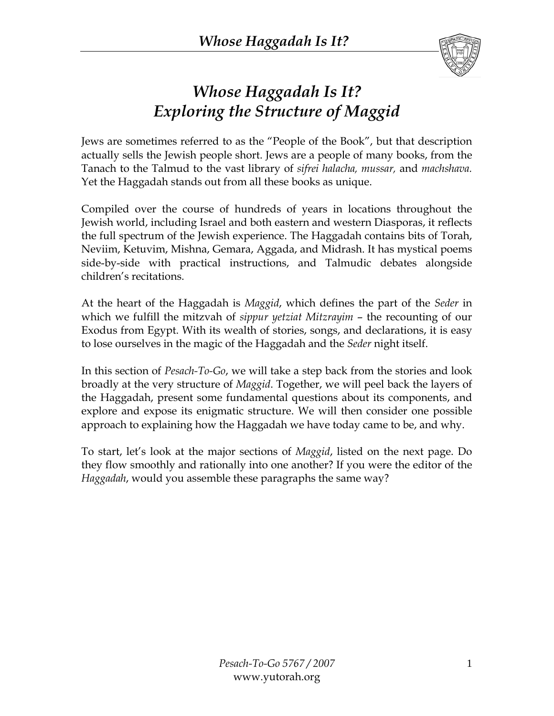

### *Whose Haggadah Is It? Exploring the Structure of Maggid*

Jews are sometimes referred to as the "People of the Book", but that description actually sells the Jewish people short. Jews are a people of many books, from the Tanach to the Talmud to the vast library of *sifrei halacha, mussar,* and *machshava.* Yet the Haggadah stands out from all these books as unique.

Compiled over the course of hundreds of years in locations throughout the Jewish world, including Israel and both eastern and western Diasporas, it reflects the full spectrum of the Jewish experience. The Haggadah contains bits of Torah, Neviim, Ketuvim, Mishna, Gemara, Aggada, and Midrash. It has mystical poems side-by-side with practical instructions, and Talmudic debates alongside children's recitations.

At the heart of the Haggadah is *Maggid*, which defines the part of the *Seder* in which we fulfill the mitzvah of *sippur yetziat Mitzrayim* – the recounting of our Exodus from Egypt. With its wealth of stories, songs, and declarations, it is easy to lose ourselves in the magic of the Haggadah and the *Seder* night itself.

In this section of *Pesach-To-Go*, we will take a step back from the stories and look broadly at the very structure of *Maggid*. Together, we will peel back the layers of the Haggadah, present some fundamental questions about its components, and explore and expose its enigmatic structure. We will then consider one possible approach to explaining how the Haggadah we have today came to be, and why.

To start, let's look at the major sections of *Maggid*, listed on the next page. Do they flow smoothly and rationally into one another? If you were the editor of the *Haggadah*, would you assemble these paragraphs the same way?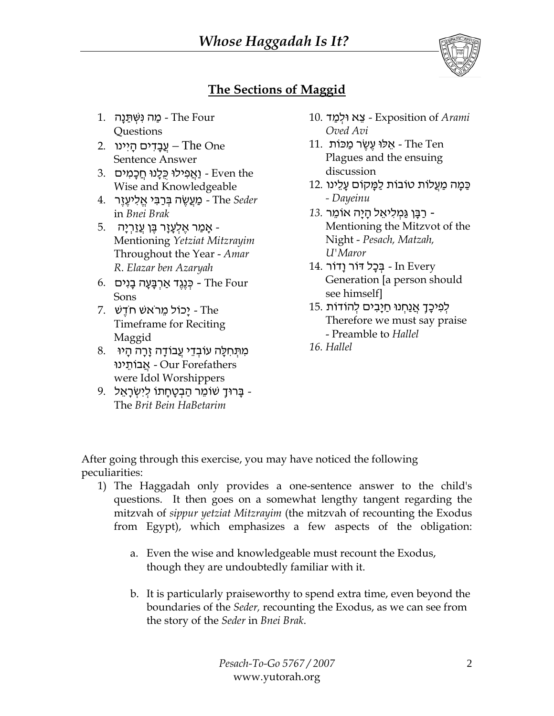

#### **The Sections of Maggid**

- ר מַה נִּשְׁתַּנָה Ine Four Questions
- 2. עֲבַדִים הַיִינו 2. Sentence Answer
- וַ Even the וַאֲפִילוּ כְּלֵנוּ חֲכָמִים  $\pm$ Wise and Knowledgeable
- *Seder* The מַ עֲשֶׂ ה בּ ְ רַ בּ ִ י אֱ ל ִ יעֶ זֶר 4. in *Bnei Brak*
- 5. אַמַר אֶלְעָזָר בֶּן עֲזַרִיָה -Mentioning *Yetziat Mitzrayim* Throughout the Year - *Amar R*. *Elazar ben Azaryah*
- 6. בְּנֶגֶד אַרְבָּעָה בָנִים  $\blacksquare$  Four Sons
- 7. יָכוֹל מֵרֹאשׁ חֹדֵשׁ Timeframe for Reciting Maggid
- מִתְּחָלֵה עוֹבְדֵי עֲבוֹדַה זַרָה הַיוּ  $8.$  Forefathers Our - אֲ בוֹתֵ ינוּ were Idol Worshippers
- 9. בָּרוּךָ שׁוֹמֵר הַבְטָחָתוֹ לִיְשְׂרָאֵל -The *Brit Bein HaBetarim*
- **4 Exposition of** Arami צֵא וּלְמַד I0. *Oved Avi*
- תַּלוּ עֵשֶׂר מַכּוֹת 11. The Ten Plagues and the ensuing discussion
- ַ כַּמָה מַעֲלוֹת טוֹבוֹת לַמָּקוֹם עָלֵינו 12. *- Dayeinu*
- רַ בָּ ן גַּמ ְ ל ִ יאֵ ל הָ יָה אוֹמֵ ר *13.* Mentioning the Mitzvot of the Night - *Pesach, Matzah, U'Maror*
- In Every בִּכָל דּוֹר וָדוֹר 14. Generation [a person should see himself]
- לְפִיכַּךָ אֲנַחְנוּ חַיַבִּים לְהוֹדוֹת 15. Therefore we must say praise - Preamble to *Hallel*
- *16. Hallel*

After going through this exercise, you may have noticed the following peculiarities:

- 1) The Haggadah only provides a one-sentence answer to the child's questions. It then goes on a somewhat lengthy tangent regarding the mitzvah of *sippur yetziat Mitzrayim* (the mitzvah of recounting the Exodus from Egypt), which emphasizes a few aspects of the obligation:
	- a. Even the wise and knowledgeable must recount the Exodus, though they are undoubtedly familiar with it.
	- b. It is particularly praiseworthy to spend extra time, even beyond the boundaries of the *Seder,* recounting the Exodus, as we can see from the story of the *Seder* in *Bnei Brak*.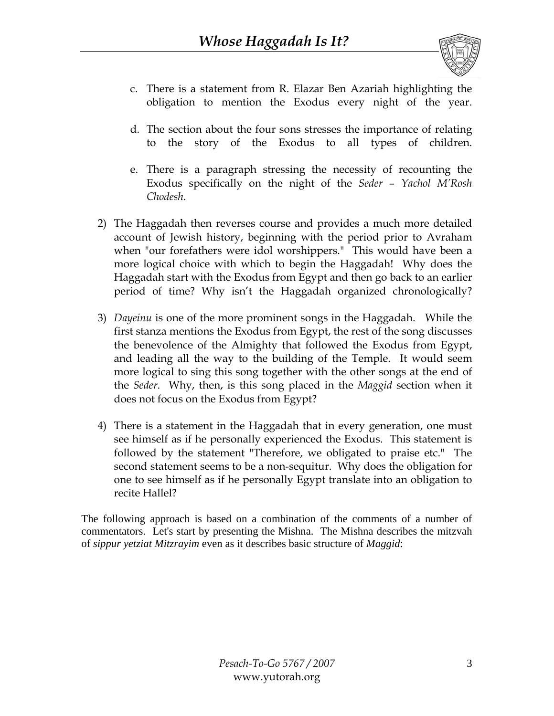

- c. There is a statement from R. Elazar Ben Azariah highlighting the obligation to mention the Exodus every night of the year.
- d. The section about the four sons stresses the importance of relating to the story of the Exodus to all types of children.
- e. There is a paragraph stressing the necessity of recounting the Exodus specifically on the night of the *Seder* – *Yachol M'Rosh Chodesh*.
- 2) The Haggadah then reverses course and provides a much more detailed account of Jewish history, beginning with the period prior to Avraham when "our forefathers were idol worshippers." This would have been a more logical choice with which to begin the Haggadah! Why does the Haggadah start with the Exodus from Egypt and then go back to an earlier period of time? Why isn't the Haggadah organized chronologically?
- 3) *Dayeinu* is one of the more prominent songs in the Haggadah. While the first stanza mentions the Exodus from Egypt, the rest of the song discusses the benevolence of the Almighty that followed the Exodus from Egypt, and leading all the way to the building of the Temple. It would seem more logical to sing this song together with the other songs at the end of the *Seder*. Why, then, is this song placed in the *Maggid* section when it does not focus on the Exodus from Egypt?
- 4) There is a statement in the Haggadah that in every generation, one must see himself as if he personally experienced the Exodus. This statement is followed by the statement "Therefore, we obligated to praise etc." The second statement seems to be a non-sequitur. Why does the obligation for one to see himself as if he personally Egypt translate into an obligation to recite Hallel?

The following approach is based on a combination of the comments of a number of commentators. Let's start by presenting the Mishna. The Mishna describes the mitzvah of *sippur yetziat Mitzrayim* even as it describes basic structure of *Maggid*: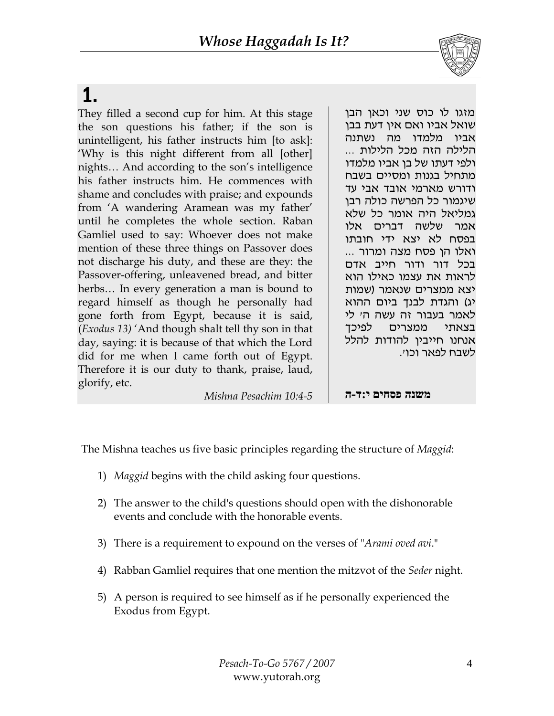

# 1.

They filled a second cup for him. At this stage the son questions his father; if the son is unintelligent, his father instructs him [to ask]: 'Why is this night different from all [other] nights… And according to the son's intelligence his father instructs him. He commences with shame and concludes with praise; and expounds from 'A wandering Aramean was my father' until he completes the whole section. Raban Gamliel used to say: Whoever does not make mention of these three things on Passover does not discharge his duty, and these are they: the Passover-offering, unleavened bread, and bitter herbs… In every generation a man is bound to regard himself as though he personally had gone forth from Egypt, because it is said, (*Exodus 13)* 'And though shalt tell thy son in that day, saying: it is because of that which the Lord did for me when I came forth out of Egypt. Therefore it is our duty to thank, praise, laud, glorify, etc.

מזגו לו כוס שני וכאן הבן שואל אביו ואם אין דעת בבן אביו מלמדו מה נשתנה הלילה הזה מכל הלילות ... ולפי דעתו של בן אביו מלמדו מתחיל בגנות ומסיים בשבח ודורש מארמי אובד אבי עד שיגמור כל הפרשה כולה רבן גמליאל היה אומר כל שלא אמר שלשה דברים אלו בפסח לא יצא ידי חובתו ואלו הן פסח מצה ומרור ... בכל דור ודור חייב אדם לראות את עצמו כאילו הוא יצא ממצרים שנאמר (שמות יג) והגדת לבנך ביום ההוא לאמר בעבור זה עשה ה' לי בצאתי ממצרים לפיכך אנחנו חייבין להודות להלל לשבח לפאר וכו .'

*Mishna Pesachim 10:4-5* 

**משנה פסחים י:ד-ה** 

The Mishna teaches us five basic principles regarding the structure of *Maggid*:

- 1) *Maggid* begins with the child asking four questions.
- 2) The answer to the child's questions should open with the dishonorable events and conclude with the honorable events.
- 3) There is a requirement to expound on the verses of "*Arami oved avi*."
- 4) Rabban Gamliel requires that one mention the mitzvot of the *Seder* night.
- 5) A person is required to see himself as if he personally experienced the Exodus from Egypt.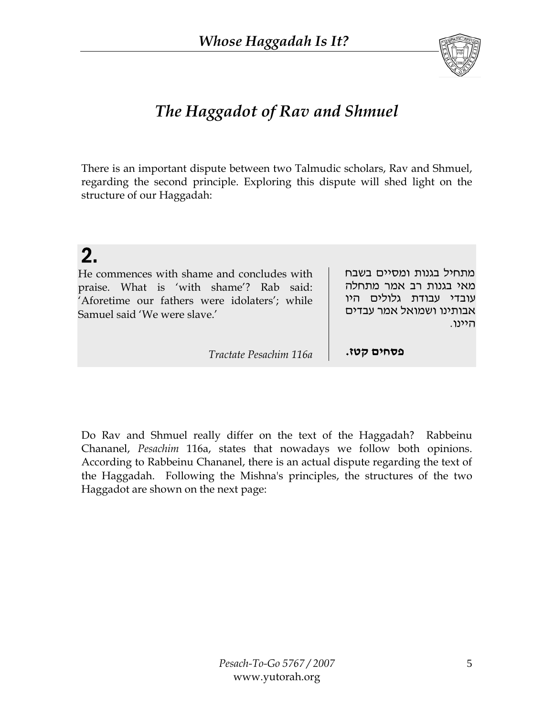

### *The Haggadot of Rav and Shmuel*

There is an important dispute between two Talmudic scholars, Rav and Shmuel, regarding the second principle. Exploring this dispute will shed light on the structure of our Haggadah:

# 2.

He commences with shame and concludes with praise. What is 'with shame'? Rab said: 'Aforetime our fathers were idolaters'; while Samuel said 'We were slave.'

מתחיל בגנות ומסיים בשבח מאי בגנות רב אמר מתחלה עובדי עבודת גלולים היו אבותינו ושמואל אמר עבדים היינו.

*Tractate Pesachim 116a* **.קטז פסחים**

Do Rav and Shmuel really differ on the text of the Haggadah? Rabbeinu Chananel, *Pesachim* 116a, states that nowadays we follow both opinions. According to Rabbeinu Chananel, there is an actual dispute regarding the text of the Haggadah. Following the Mishna's principles, the structures of the two Haggadot are shown on the next page: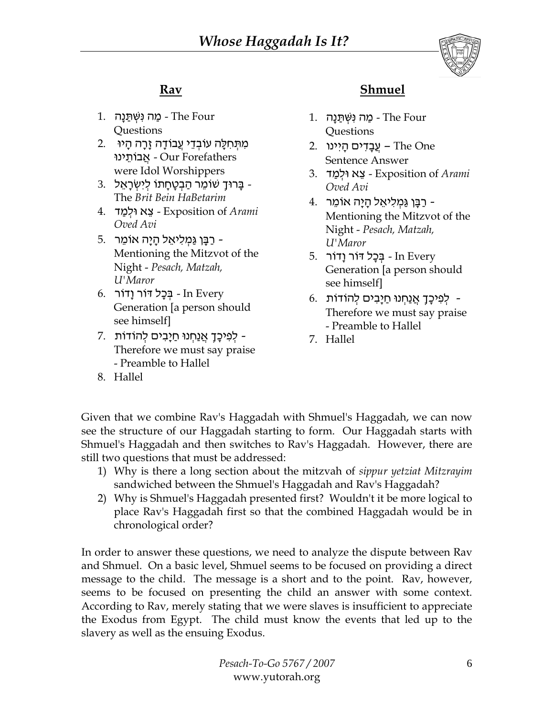

### **Rav**

- ר מַה נִּשְׁתַּנַה Ihe Four Questions
- מִתְּחִלָּה עוֹבְדֵי עֲבוֹדָה זָרָה הָיוּ 2. Forefathers Our - אֲ בוֹתֵ ינוּ were Idol Worshippers
- בַּרוּדָ שׁוֹמֵר הַבְטַחַתוֹ לִיִשְׂרַאֵל  $\,$  3. The *Brit Bein HaBetarim*
- *Arami* of Exposition צֵ א וּל ְ מַ ד 4. *Oved Avi*
- 5. רַבָּן גַּמְלִיאֵל הָיָה אוֹמֵר -Mentioning the Mitzvot of the Night - *Pesach, Matzah, U'Maror*
- $6.$  In Every בַּכַל דּוֹר וַדוֹר  $\ln$ Generation [a person should see himself]
- 7. לְפִיכָךָ אֲנַחְנוּ חַיָבִים לְהוֹדוֹת -Therefore we must say praise - Preamble to Hallel

#### **Shmuel**

- ן מַה נִּשְׁתַּנָה Ihe Four Questions
- 2. עֵבַדִים הַיִינו 2. Sentence Answer
- *Arami* of Exposition צֵ א וּל ְ מַ ד 3. *Oved Avi*
- רַבָּן גַּמְלִיאֵל הָיָה אוֹמֵר 4. Mentioning the Mitzvot of the Night - *Pesach, Matzah, U'Maror*
- 5. בְּכָל דּוֹר וָדוֹר 5. Generation [a person should see himself]
- ּלְ לְפִיכָךָ אֲנַחָנוּ חַיָּבִים לְהוֹדוֹת 6. Therefore we must say praise - Preamble to Hallel
- 7. Hallel

8. Hallel

Given that we combine Rav's Haggadah with Shmuel's Haggadah, we can now see the structure of our Haggadah starting to form. Our Haggadah starts with Shmuel's Haggadah and then switches to Rav's Haggadah. However, there are still two questions that must be addressed:

- 1) Why is there a long section about the mitzvah of *sippur yetziat Mitzrayim* sandwiched between the Shmuel's Haggadah and Rav's Haggadah?
- 2) Why is Shmuel's Haggadah presented first? Wouldn't it be more logical to place Rav's Haggadah first so that the combined Haggadah would be in chronological order?

In order to answer these questions, we need to analyze the dispute between Rav and Shmuel. On a basic level, Shmuel seems to be focused on providing a direct message to the child. The message is a short and to the point. Rav, however, seems to be focused on presenting the child an answer with some context. According to Rav, merely stating that we were slaves is insufficient to appreciate the Exodus from Egypt. The child must know the events that led up to the slavery as well as the ensuing Exodus.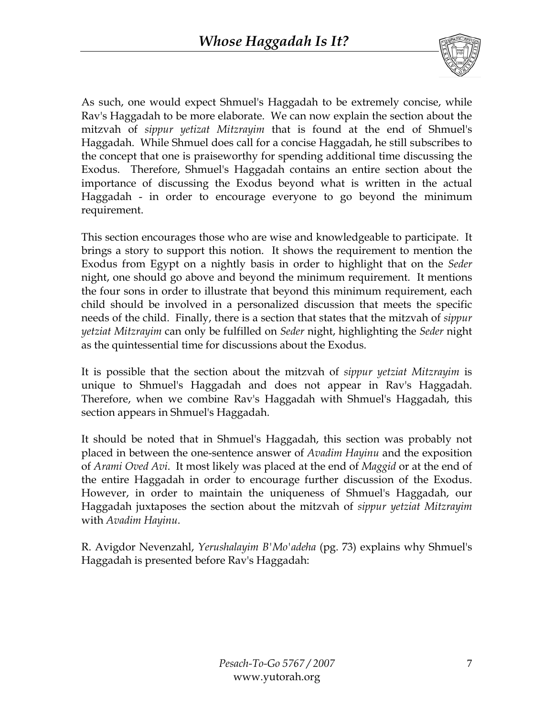

As such, one would expect Shmuel's Haggadah to be extremely concise, while Rav's Haggadah to be more elaborate. We can now explain the section about the mitzvah of *sippur yetizat Mitzrayim* that is found at the end of Shmuel's Haggadah. While Shmuel does call for a concise Haggadah, he still subscribes to the concept that one is praiseworthy for spending additional time discussing the Exodus. Therefore, Shmuel's Haggadah contains an entire section about the importance of discussing the Exodus beyond what is written in the actual Haggadah - in order to encourage everyone to go beyond the minimum requirement.

This section encourages those who are wise and knowledgeable to participate. It brings a story to support this notion. It shows the requirement to mention the Exodus from Egypt on a nightly basis in order to highlight that on the *Seder* night, one should go above and beyond the minimum requirement. It mentions the four sons in order to illustrate that beyond this minimum requirement, each child should be involved in a personalized discussion that meets the specific needs of the child. Finally, there is a section that states that the mitzvah of *sippur yetziat Mitzrayim* can only be fulfilled on *Seder* night, highlighting the *Seder* night as the quintessential time for discussions about the Exodus.

It is possible that the section about the mitzvah of *sippur yetziat Mitzrayim* is unique to Shmuel's Haggadah and does not appear in Rav's Haggadah. Therefore, when we combine Rav's Haggadah with Shmuel's Haggadah, this section appears in Shmuel's Haggadah.

It should be noted that in Shmuel's Haggadah, this section was probably not placed in between the one-sentence answer of *Avadim Hayinu* and the exposition of *Arami Oved Avi*. It most likely was placed at the end of *Maggid* or at the end of the entire Haggadah in order to encourage further discussion of the Exodus. However, in order to maintain the uniqueness of Shmuel's Haggadah, our Haggadah juxtaposes the section about the mitzvah of *sippur yetziat Mitzrayim* with *Avadim Hayinu*.

R. Avigdor Nevenzahl, *Yerushalayim B'Mo'adeha* (pg. 73) explains why Shmuel's Haggadah is presented before Rav's Haggadah: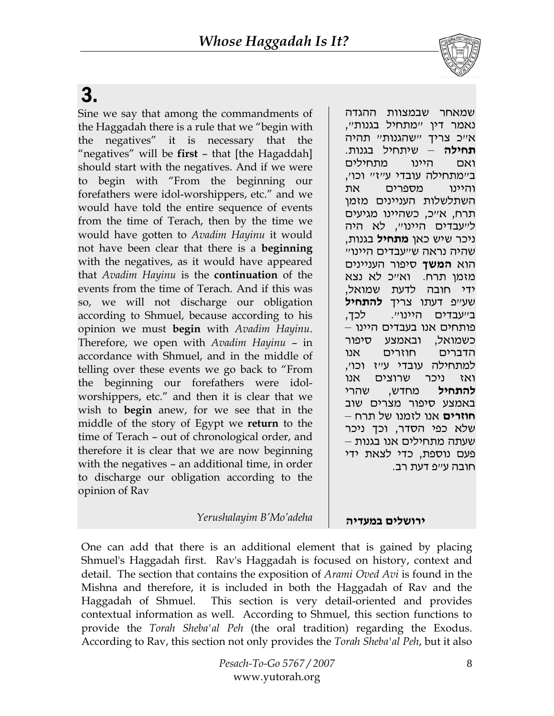# 3.

Sine we say that among the commandments of the Haggadah there is a rule that we "begin with the negatives" it is necessary that the "negatives" will be **first** – that [the Hagaddah] should start with the negatives. And if we were to begin with "From the beginning our forefathers were idol-worshippers, etc." and we would have told the entire sequence of events from the time of Terach, then by the time we would have gotten to *Avadim Hayinu* it would not have been clear that there is a **beginning** with the negatives, as it would have appeared that *Avadim Hayinu* is the **continuation** of the events from the time of Terach. And if this was so, we will not discharge our obligation according to Shmuel, because according to his opinion we must **begin** with *Avadim Hayinu*. Therefore, we open with *Avadim Hayinu* – in accordance with Shmuel, and in the middle of telling over these events we go back to "From the beginning our forefathers were idolworshippers, etc." and then it is clear that we wish to **begin** anew, for we see that in the middle of the story of Egypt we **return** to the time of Terach – out of chronological order, and therefore it is clear that we are now beginning with the negatives – an additional time, in order to discharge our obligation according to the opinion of Rav

שמאחר שבמצוות ההגדה נאמר דין "מתחיל בגנות", א "כ צריך "שהגנות" תהיה **תחילה** – שיתחיל בגנות. ואם היינו מתחילים ב"מתחילה עובדי ע"ז" וכו', והיינו מספרים את השתלשלות העניינים מזמן תרח, א"כ, כשהיינו מגיעים ל"עבדים היינו", לא היה ניכר שיש כאן **מתחיל** בגנות, שהיה נראה ש"עבדים היינו" הוא **המשך** סיפור העניינים מזמן תרח. ואייכ לא נצא ידי חובה לדעת שמואל, שע"פ דעתו צריך **להתחיל** בייעבדים היינויי. לכך, פותחים אנו בעבדים היינו – כשמואל, ובאמצע סיפור הדברים חוזרים אנו למתחילה עובדי ע"ז וכו', ואז ניכר שרוצים אנו **להתחיל** מחדש, שהרי באמצע סיפור מצרים שוב **חוזרים** אנו לזמנו של תרח – שלא כפי הסדר, וכך ניכר שעתה מתחילים אנו בגנות – פעם נוספת, כדי לצאת ידי חובה ע"פ דעת רב.

#### **רי ושלים במעד הי** *adeha'Mo'B Yerushalayim*

One can add that there is an additional element that is gained by placing Shmuel's Haggadah first. Rav's Haggadah is focused on history, context and detail. The section that contains the exposition of *Arami Oved Avi* is found in the Mishna and therefore, it is included in both the Haggadah of Rav and the Haggadah of Shmuel. This section is very detail-oriented and provides contextual information as well. According to Shmuel, this section functions to provide the *Torah Sheba'al Peh* (the oral tradition) regarding the Exodus. According to Rav, this section not only provides the *Torah Sheba'al Peh*, but it also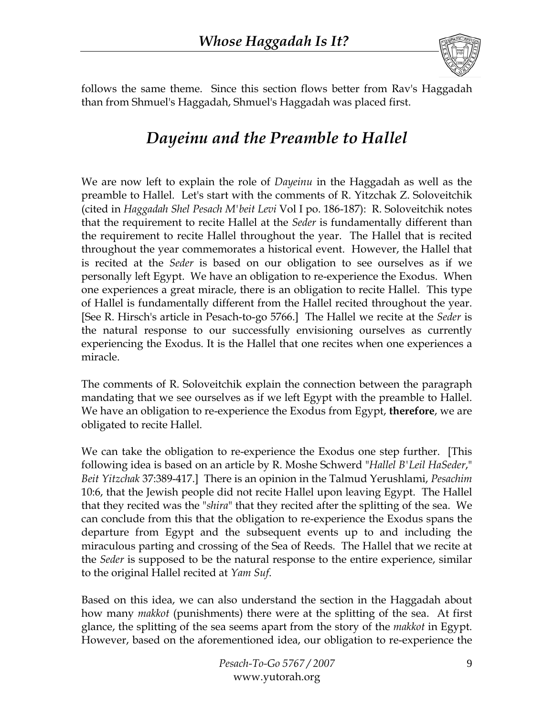

follows the same theme. Since this section flows better from Rav's Haggadah than from Shmuel's Haggadah, Shmuel's Haggadah was placed first.

### *Dayeinu and the Preamble to Hallel*

We are now left to explain the role of *Dayeinu* in the Haggadah as well as the preamble to Hallel. Let's start with the comments of R. Yitzchak Z. Soloveitchik (cited in *Haggadah Shel Pesach M'beit Levi* Vol I po. 186-187): R. Soloveitchik notes that the requirement to recite Hallel at the *Seder* is fundamentally different than the requirement to recite Hallel throughout the year. The Hallel that is recited throughout the year commemorates a historical event. However, the Hallel that is recited at the *Seder* is based on our obligation to see ourselves as if we personally left Egypt. We have an obligation to re-experience the Exodus. When one experiences a great miracle, there is an obligation to recite Hallel. This type of Hallel is fundamentally different from the Hallel recited throughout the year. [See R. Hirsch's article in Pesach-to-go 5766.] The Hallel we recite at the *Seder* is the natural response to our successfully envisioning ourselves as currently experiencing the Exodus. It is the Hallel that one recites when one experiences a miracle.

The comments of R. Soloveitchik explain the connection between the paragraph mandating that we see ourselves as if we left Egypt with the preamble to Hallel. We have an obligation to re-experience the Exodus from Egypt, **therefore**, we are obligated to recite Hallel.

We can take the obligation to re-experience the Exodus one step further. [This following idea is based on an article by R. Moshe Schwerd "*Hallel B'Leil HaSeder*," *Beit Yitzchak* 37:389-417.] There is an opinion in the Talmud Yerushlami, *Pesachim* 10:6, that the Jewish people did not recite Hallel upon leaving Egypt. The Hallel that they recited was the "*shira*" that they recited after the splitting of the sea. We can conclude from this that the obligation to re-experience the Exodus spans the departure from Egypt and the subsequent events up to and including the miraculous parting and crossing of the Sea of Reeds. The Hallel that we recite at the *Seder* is supposed to be the natural response to the entire experience, similar to the original Hallel recited at *Yam Suf*.

Based on this idea, we can also understand the section in the Haggadah about how many *makkot* (punishments) there were at the splitting of the sea. At first glance, the splitting of the sea seems apart from the story of the *makkot* in Egypt. However, based on the aforementioned idea, our obligation to re-experience the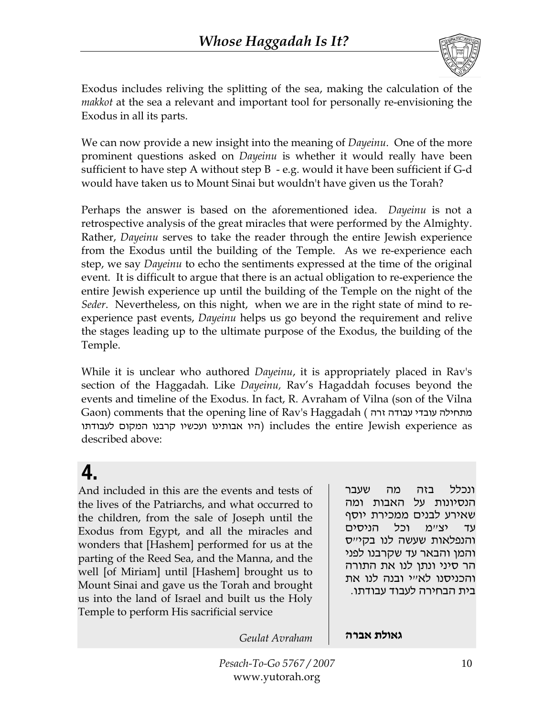

Exodus includes reliving the splitting of the sea, making the calculation of the *makkot* at the sea a relevant and important tool for personally re-envisioning the Exodus in all its parts.

We can now provide a new insight into the meaning of *Dayeinu*. One of the more prominent questions asked on *Dayeinu* is whether it would really have been sufficient to have step A without step B - e.g. would it have been sufficient if G-d would have taken us to Mount Sinai but wouldn't have given us the Torah?

Perhaps the answer is based on the aforementioned idea. *Dayeinu* is not a retrospective analysis of the great miracles that were performed by the Almighty. Rather, *Dayeinu* serves to take the reader through the entire Jewish experience from the Exodus until the building of the Temple. As we re-experience each step, we say *Dayeinu* to echo the sentiments expressed at the time of the original event. It is difficult to argue that there is an actual obligation to re-experience the entire Jewish experience up until the building of the Temple on the night of the *Seder*. Nevertheless, on this night, when we are in the right state of mind to reexperience past events, *Dayeinu* helps us go beyond the requirement and relive the stages leading up to the ultimate purpose of the Exodus, the building of the Temple.

While it is unclear who authored *Dayeinu*, it is appropriately placed in Rav's section of the Haggadah. Like *Dayeinu,* Rav's Hagaddah focuses beyond the events and timeline of the Exodus. In fact, R. Avraham of Vilna (son of the Vilna Gaon) comments that the opening line of Rav's Haggadah ( זרה עבודה עובדי מתחילה היו אבותינו ועכשיו קרבנו המקום לעבודתו) includes the entire Jewish experience as described above:

# 4.

And included in this are the events and tests of the lives of the Patriarchs, and what occurred to the children, from the sale of Joseph until the Exodus from Egypt, and all the miracles and wonders that [Hashem] performed for us at the parting of the Reed Sea, and the Manna, and the well [of Miriam] until [Hashem] brought us to Mount Sinai and gave us the Torah and brought us into the land of Israel and built us the Holy Temple to perform His sacrificial service

ונכלל בזה מה שעבר הנסיונות על האבות ומה שאירע לבנים ממכירת יוסף עד יצ"מ וכל הניסים והנפלאות שעשה לנו בקי"ס והמן והבאר עד שקרבנו לפני הר סיני ונתן לנו את התורה והכניסנו לא"י ובנה לנו את בית הבחירה לעבוד עבודתו.

**גאולת אברה** *Avraham Geulat*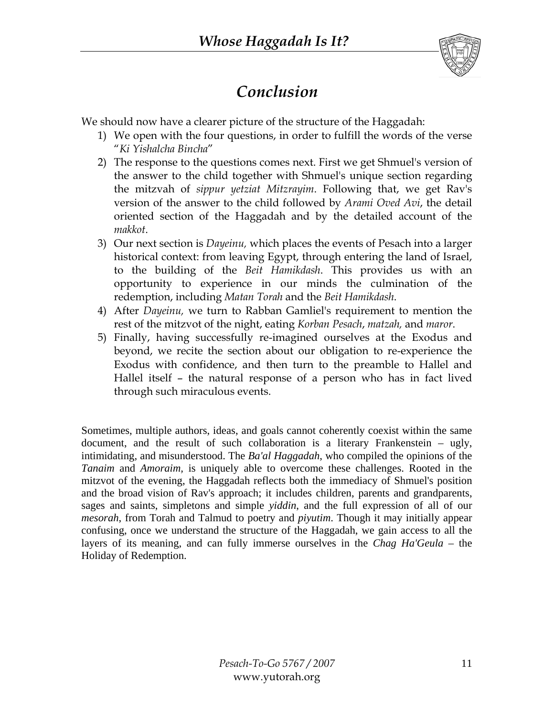

### *Conclusion*

We should now have a clearer picture of the structure of the Haggadah:

- 1) We open with the four questions, in order to fulfill the words of the verse "*Ki Yishalcha Bincha*"
- 2) The response to the questions comes next. First we get Shmuel's version of the answer to the child together with Shmuel's unique section regarding the mitzvah of *sippur yetziat Mitzrayim*. Following that, we get Rav's version of the answer to the child followed by *Arami Oved Avi*, the detail oriented section of the Haggadah and by the detailed account of the *makkot*.
- 3) Our next section is *Dayeinu,* which places the events of Pesach into a larger historical context: from leaving Egypt, through entering the land of Israel, to the building of the *Beit Hamikdash*. This provides us with an opportunity to experience in our minds the culmination of the redemption, including *Matan Torah* and the *Beit Hamikdash*.
- 4) After *Dayeinu,* we turn to Rabban Gamliel's requirement to mention the rest of the mitzvot of the night, eating *Korban Pesach*, *matzah,* and *maror*.
- 5) Finally, having successfully re-imagined ourselves at the Exodus and beyond, we recite the section about our obligation to re-experience the Exodus with confidence, and then turn to the preamble to Hallel and Hallel itself – the natural response of a person who has in fact lived through such miraculous events.

Sometimes, multiple authors, ideas, and goals cannot coherently coexist within the same document, and the result of such collaboration is a literary Frankenstein – ugly, intimidating, and misunderstood. The *Ba'al Haggadah*, who compiled the opinions of the *Tanaim* and *Amoraim,* is uniquely able to overcome these challenges. Rooted in the mitzvot of the evening, the Haggadah reflects both the immediacy of Shmuel's position and the broad vision of Rav's approach; it includes children, parents and grandparents, sages and saints, simpletons and simple *yiddin*, and the full expression of all of our *mesorah*, from Torah and Talmud to poetry and *piyutim*. Though it may initially appear confusing, once we understand the structure of the Haggadah, we gain access to all the layers of its meaning, and can fully immerse ourselves in the *Chag Ha'Geula* – the Holiday of Redemption.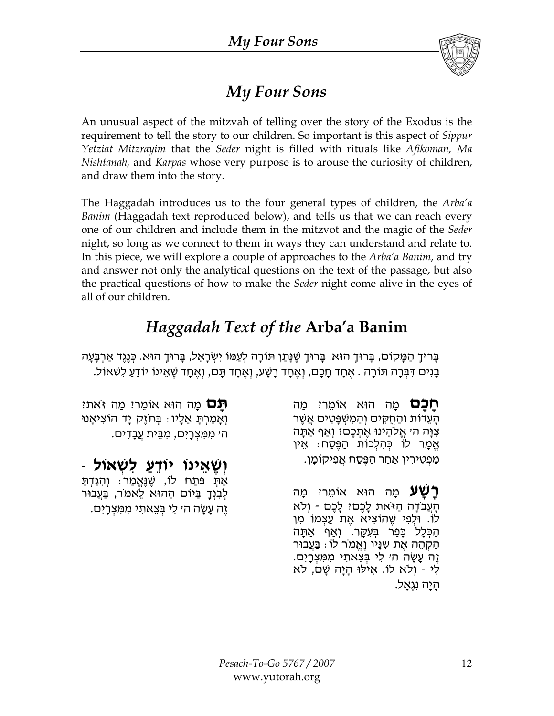

### *My Four Sons*

An unusual aspect of the mitzvah of telling over the story of the Exodus is the requirement to tell the story to our children. So important is this aspect of *Sippur Yetziat Mitzrayim* that the *Seder* night is filled with rituals like *Afikoman, Ma Nishtanah,* and *Karpas* whose very purpose is to arouse the curiosity of children, and draw them into the story.

The Haggadah introduces us to the four general types of children, the *Arba'a Banim* (Haggadah text reproduced below), and tells us that we can reach every one of our children and include them in the mitzvot and the magic of the *Seder* night, so long as we connect to them in ways they can understand and relate to. In this piece, we will explore a couple of approaches to the *Arba'a Banim*, and try and answer not only the analytical questions on the text of the passage, but also the practical questions of how to make the *Seder* night come alive in the eyes of all of our children.

### *Haggadah Text of the* **Arba'a Banim**

ָבָרוּךָ הַמָּקוֹם, בָּרוּךָ הוּא. בָּרוּךָ שֵׁנָּתַן תּוֹרָה לְעַמּוֹ יִשְׂרָאֵל, בָּרוּךָ הוּא. כִּנֶגֶד אַרְבָּעָה ּבְּנִים דִּבְּרָה תּוֹרָה . אֶחָד חָכָם, וְאֶחָד רָשָׁע, וְאֶחָד תָּם, וְאֶחָד שֶׁאֵינוֹ יוֹדֵעַ לִשְׁאוֹל.

> **חַכַּם** מָה הוּא אוֹמֵריִ מַה הַעֲדוֹת וְהַחְקִים וְהַמְשְׁפֵּטִים אֲשֶׁר צִוָּה ה׳ אֱלֹהֵינוּ אֶתְכֶם? וְאַף אַתַּה ּ אֱמֶר לוֹ כִּהְלִכוֹת הַפֶּסַח: אֵין ַ מַפְטִירִין אַחַר הַפֶּסַח אֲפִיקוֹמָן.

> **רַשַׁעַ** מַה הוּא אוֹמֵריִ מַה הָעֲבֹדָה הַזֹּאת לָכֶם? לָכֶם - וְלֹא לוֹ. וּלְפִי שֶׁהוֹצִיא אֶת עַצְמוֹ מִן הַכִּלָ כָּפַר בִּעְקֶר. וְאַף אַתָּה ּהַקְהֵה אֶת שְׁנָּיו וֶאֱמֹר לוֹ : בַּעֲבוּר ַּזֶה עֲשֶׂה ה׳ לִי בִּצֶאתִי מִמְּצְרָיִם. לִי - וְלֹא לֹוֹ. אִילוּ הָיָה שָׁם, לֹא ּהַיַּה נִגְאֲל.

**ִתַּם** מַה הוּא אוֹמֵר? מַה זֹּאת? וְאָמַרִתָּ אֵלָיו: בִּחֹזֶק יָד הוֹצִיאָנוּ ה' מ ִ מּ ִ צ ְ רָ יִ ם, מ ִ בֵּ ית עֲבָ ד ִ ים .

**וְ שֶׁ אֵ ינוֹ יוֹד ַ ֵ ע ל ִ שׁ ְ אוֹל** - ּאַתְּ פְּתַח לוֹ, שֶׁנֶּאֱמַר: וְהִנֵּדְתָּ ַלְבִנְךָ בַּיוֹם הַהוּא לֵאמֹר, בַּעֲבוּר ֶזֶה עָשָׂה ה׳ לִי בְּצֵאתִי מִמִּצְרָיִם.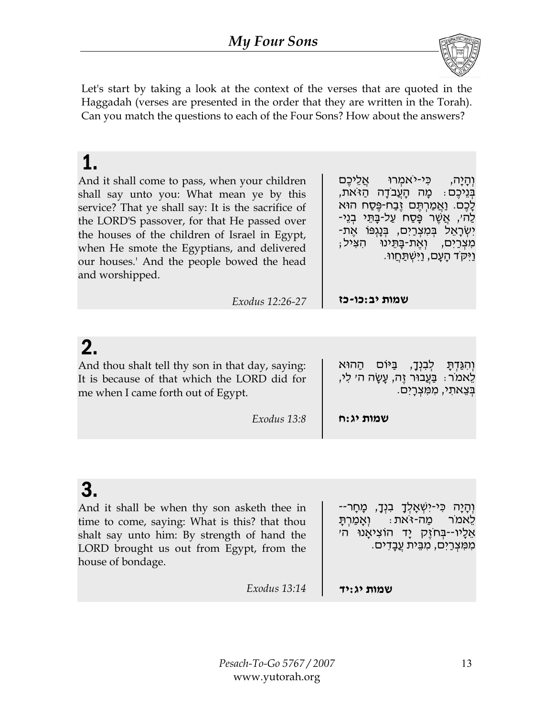

Let's start by taking a look at the context of the verses that are quoted in the Haggadah (verses are presented in the order that they are written in the Torah). Can you match the questions to each of the Four Sons? How about the answers?

| And it shall come to pass, when your children<br>shall say unto you: What mean ye by this<br>service? That ye shall say: It is the sacrifice of<br>the LORD'S passover, for that He passed over<br>the houses of the children of Israel in Egypt,<br>when He smote the Egyptians, and delivered<br>our houses.' And the people bowed the head<br>and worshipped. | וְהָיָה, כִּי-יֹאמְרוּ אֲלֵיכֵם<br>בְּנֵיכֵם: מַה הָעֲבֹדָה הַזֹּאת,<br>ַלָּכֶם. וַאֲמַרְתֶּם זֶבַח-פֶּסַח הוּא<br>ַלַה׳, אֲשֶׁר פָּסַח עַל-בָּתֵּי בְנֵי-<br>יִשְׂרָאֵל בִּמְצְרַיִם, בִּנָגְפּוֹ אֶת-<br>ּמִצְרַיִם, וְאֶת-בָּתֵינוּ הִצִּיל;<br>ַוַּיִּקֹד הָעָם, וַיִּשְׁתַּחֲווּ. |  |  |
|------------------------------------------------------------------------------------------------------------------------------------------------------------------------------------------------------------------------------------------------------------------------------------------------------------------------------------------------------------------|----------------------------------------------------------------------------------------------------------------------------------------------------------------------------------------------------------------------------------------------------------------------------------------|--|--|
| Exodus 12:26-27                                                                                                                                                                                                                                                                                                                                                  | שמות יב:כו-כז                                                                                                                                                                                                                                                                          |  |  |
|                                                                                                                                                                                                                                                                                                                                                                  |                                                                                                                                                                                                                                                                                        |  |  |
| 2.<br>And thou shalt tell thy son in that day, saying:<br>It is because of that which the LORD did for<br>mo whon Loamo forth out of Fount                                                                                                                                                                                                                       | לִבְנִדָ, בַּיּוֹם הַהוּא<br>וְהִגַּדְתָ<br>ְלֵאמֹר ִּ בַּעֲבוּר זֶה, עָשָׂה ה׳ לִי,<br>בצאתי. ממצרים.                                                                                                                                                                                 |  |  |

| me when I came forth out of Egypt. |             |           | נצאתי, ממצרים. |
|------------------------------------|-------------|-----------|----------------|
|                                    | Exodus 13:8 | שמות יג:ח |                |

# $\mathbf{c}$

| u.<br>And it shall be when thy son asketh thee in<br>time to come, saying: What is this? that thou<br>shalt say unto him: By strength of hand the<br>LORD brought us out from Egypt, from the<br>house of bondage. | וְהָיָה כִּי-יִשְׁאָלְךָ בִּנְךָ, מָחָר--<br>לֵאמֹר מַה-זֹאת: וְאֲמַרְתַּ<br>אֱלֶיו--בְּחזֶק יַד הוֹצִיאָנוּ הִ׳<br>מִמְצְרַיִם, מִבֵּית עֲבָדִים. |
|--------------------------------------------------------------------------------------------------------------------------------------------------------------------------------------------------------------------|----------------------------------------------------------------------------------------------------------------------------------------------------|
| Exodus 13:14                                                                                                                                                                                                       | שמות יג:יד                                                                                                                                         |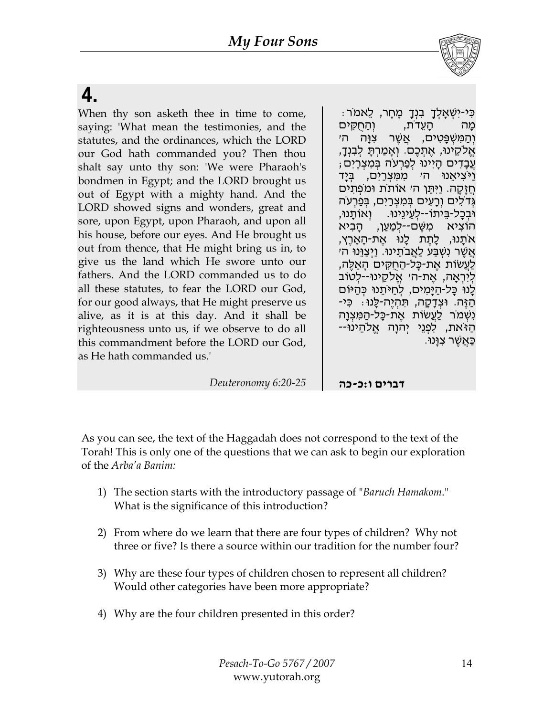

# 4.

When thy son asketh thee in time to come, saying: 'What mean the testimonies, and the statutes, and the ordinances, which the LORD our God hath commanded you? Then thou shalt say unto thy son: 'We were Pharaoh's bondmen in Egypt; and the LORD brought us out of Egypt with a mighty hand. And the LORD showed signs and wonders, great and sore, upon Egypt, upon Pharaoh, and upon all his house, before our eyes. And He brought us out from thence, that He might bring us in, to give us the land which He swore unto our fathers. And the LORD commanded us to do all these statutes, to fear the LORD our God, for our good always, that He might preserve us alive, as it is at this day. And it shall be righteousness unto us, if we observe to do all this commandment before the LORD our God, as He hath commanded us.'

ּ כִּי-יִשְׁאָלְךָ בִּנְךָ מָחָר, לֵאמֹר מה העדֹת, והחקים וְהַמִּשְׁפַּטְים, אֲשֶׁר צְו<del>ָ</del>ה ה<sup>ַ</sup>י ּ אֱלֹקֶינוּ, אֱתְכֶם. וְאֲמַרְתַּ לְבָנְךָ, : עֵבַדִים הַיִּינוּ לִפַּרְעֹה בִּמְצְרַיִם ֿוַיֹּצִיאֵנוּ ה׳ מִמַּצְרַיִם, בָּיַד חֲזָקָה. וַיִּתֵּן ה׳ אוֹתֹת וּמֹפְתִים גְדֹלִים וְרָעִים בִּמְצְרַיִם, בִּפַרְעֹה וּבְכָל-בֵּיתוֹ--לָעֵינֵינוּ. וְאוֹתֲנוּ, הוֹצִיא מִשָּׁם--לָמַעַן, הַבִיא אֹתֲנוּ, לָתֶת לָנוּ אֶת-הָאֲרֶץ, אַשֶׁר נִשָּׁבַּע לַאֲבֹתֵינוּ. וַיְצַוְּנוּ ה׳ ֹלַעֲשׂוֹת אֱת-כַּל-הַחְקִים הַאֱלֶה, לִירָאָה, אֵת-הי אֱלֹקֵינוּ--לְטוֹב ֹלָנוּ כָּל-הַיָּמִים, לְחַיּתֵנוּ כִּהַיּוֹם ּהַ וּצְדָקָה, תִּהְיֶה-לָּנוּ: כִּי-ַ נִשְׁמֹר לַעֲשׂוֹת אֱת-כָּל-הַמִּצְוָה ּהַ ֿאת, לִפְנֵי יִהוָה אֱלֹהֵינוּ--ַ כַּאֲשֶׁר צִוַּנוּ

**דברים ו:כ-כה** *6:20-25 Deuteronomy*

As you can see, the text of the Haggadah does not correspond to the text of the Torah! This is only one of the questions that we can ask to begin our exploration of the *Arba'a Banim:* 

- 1) The section starts with the introductory passage of "*Baruch Hamakom*." What is the significance of this introduction?
- 2) From where do we learn that there are four types of children? Why not three or five? Is there a source within our tradition for the number four?
- 3) Why are these four types of children chosen to represent all children? Would other categories have been more appropriate?
- 4) Why are the four children presented in this order?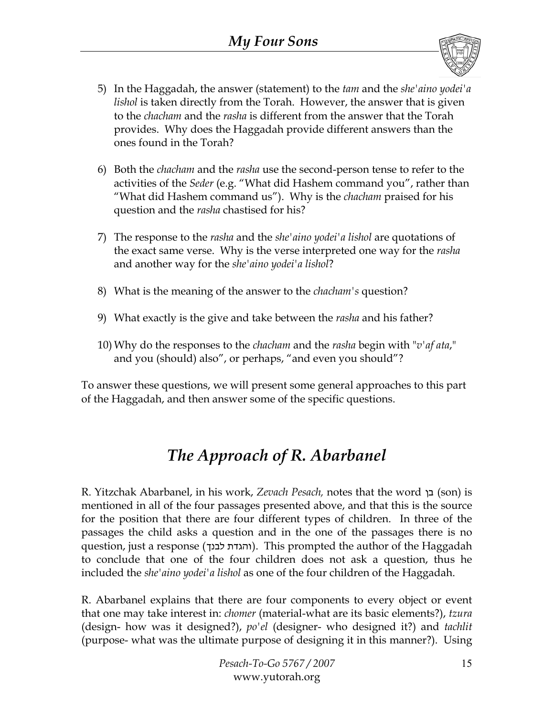

- 5) In the Haggadah, the answer (statement) to the *tam* and the *she'aino yodei'a lishol* is taken directly from the Torah. However, the answer that is given to the *chacham* and the *rasha* is different from the answer that the Torah provides. Why does the Haggadah provide different answers than the ones found in the Torah?
- 6) Both the *chacham* and the *rasha* use the second-person tense to refer to the activities of the *Seder* (e.g. "What did Hashem command you", rather than "What did Hashem command us"). Why is the *chacham* praised for his question and the *rasha* chastised for his?
- 7) The response to the *rasha* and the *she'aino yodei'a lishol* are quotations of the exact same verse. Why is the verse interpreted one way for the *rasha* and another way for the *she'aino yodei'a lishol*?
- 8) What is the meaning of the answer to the *chacham's* question?
- 9) What exactly is the give and take between the *rasha* and his father?
- 10) Why do the responses to the *chacham* and the *rasha* begin with "*v'af ata*," and you (should) also", or perhaps, "and even you should"?

To answer these questions, we will present some general approaches to this part of the Haggadah, and then answer some of the specific questions.

### *The Approach of R. Abarbanel*

R. Yitzchak Abarbanel, in his work, *Zevach Pesach,* notes that the word בן) son) is mentioned in all of the four passages presented above, and that this is the source for the position that there are four different types of children. In three of the passages the child asks a question and in the one of the passages there is no question, just a response (לבנך והגדת(. This prompted the author of the Haggadah to conclude that one of the four children does not ask a question, thus he included the *she'aino yodei'a lishol* as one of the four children of the Haggadah.

R. Abarbanel explains that there are four components to every object or event that one may take interest in: *chomer* (material-what are its basic elements?), *tzura* (design- how was it designed?), *po'el* (designer- who designed it?) and *tachlit* (purpose- what was the ultimate purpose of designing it in this manner?). Using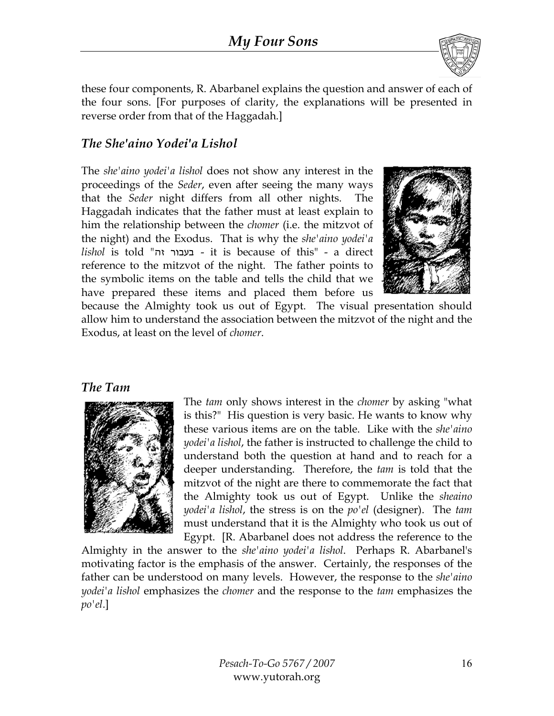

these four components, R. Abarbanel explains the question and answer of each of the four sons. [For purposes of clarity, the explanations will be presented in reverse order from that of the Haggadah.]

#### *The She'aino Yodei'a Lishol*

The *she'aino yodei'a lishol* does not show any interest in the proceedings of the *Seder*, even after seeing the many ways that the *Seder* night differs from all other nights. The Haggadah indicates that the father must at least explain to him the relationship between the *chomer* (i.e. the mitzvot of the night) and the Exodus. That is why the *she'aino yodei'a lishol* is told "זה בעבור - it is because of this" - a direct reference to the mitzvot of the night. The father points to the symbolic items on the table and tells the child that we have prepared these items and placed them before us



because the Almighty took us out of Egypt. The visual presentation should allow him to understand the association between the mitzvot of the night and the Exodus, at least on the level of *chomer*.

#### *The Tam*



The *tam* only shows interest in the *chomer* by asking "what is this?" His question is very basic. He wants to know why these various items are on the table. Like with the *she'aino yodei'a lishol*, the father is instructed to challenge the child to understand both the question at hand and to reach for a deeper understanding. Therefore, the *tam* is told that the mitzvot of the night are there to commemorate the fact that the Almighty took us out of Egypt. Unlike the *sheaino yodei'a lishol*, the stress is on the *po'el* (designer). The *tam*  must understand that it is the Almighty who took us out of Egypt. [R. Abarbanel does not address the reference to the

Almighty in the answer to the *she'aino yodei'a lishol*. Perhaps R. Abarbanel's motivating factor is the emphasis of the answer. Certainly, the responses of the father can be understood on many levels. However, the response to the *she'aino yodei'a lishol* emphasizes the *chomer* and the response to the *tam* emphasizes the *po'el*.]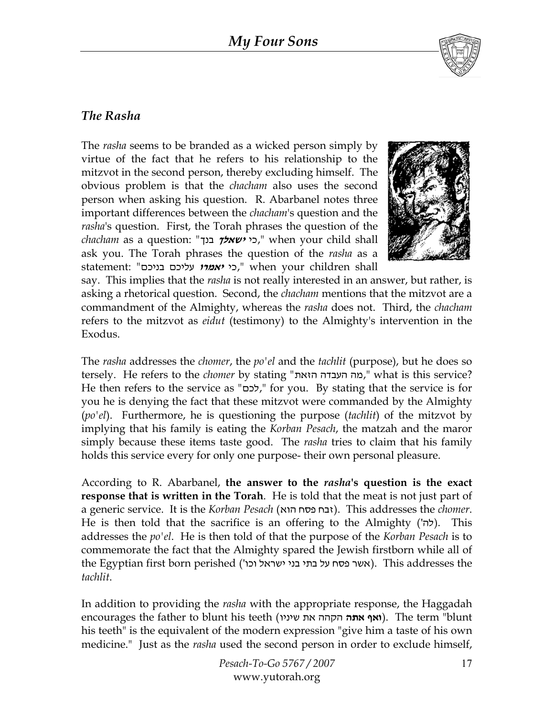

#### *The Rasha*

The *rasha* seems to be branded as a wicked person simply by virtue of the fact that he refers to his relationship to the mitzvot in the second person, thereby excluding himself. The obvious problem is that the *chacham* also uses the second person when asking his question. R. Abarbanel notes three important differences between the *chacham*'s question and the *rasha*'s question. First, the Torah phrases the question of the *chacham* as a question: "בנך **ישאלך** כי, "when your child shall ask you. The Torah phrases the question of the *rasha* as a statement: "בניכם עליכם **יאמרו** כי, "when your children shall



say. This implies that the *rasha* is not really interested in an answer, but rather, is asking a rhetorical question. Second, the *chacham* mentions that the mitzvot are a commandment of the Almighty, whereas the *rasha* does not. Third, the *chacham* refers to the mitzvot as *eidut* (testimony) to the Almighty's intervention in the Exodus.

The *rasha* addresses the *chomer*, the *po'el* and the *tachlit* (purpose), but he does so tersely. He refers to the *chomer* by stating "הזאת העבדה מה, "what is this service? He then refers to the service as "לכם, " for you. By stating that the service is for you he is denying the fact that these mitzvot were commanded by the Almighty (*po'el*). Furthermore, he is questioning the purpose (*tachlit*) of the mitzvot by implying that his family is eating the *Korban Pesach*, the matzah and the maror simply because these items taste good. The *rasha* tries to claim that his family holds this service every for only one purpose- their own personal pleasure.

According to R. Abarbanel, **the answer to the** *rasha***'s question is the exact response that is written in the Torah**. He is told that the meat is not just part of a generic service. It is the *Korban Pesach* (הוא פסח זבח(. This addresses the *chomer*. He is then told that the sacrifice is an offering to the Almighty (להי). This addresses the *po'el*. He is then told of that the purpose of the *Korban Pesach* is to commemorate the fact that the Almighty spared the Jewish firstborn while all of the Egyptian first born perished ('אשר פסח על בתי בני ישראל וכו ). This addresses the *tachlit*.

In addition to providing the *rasha* with the appropriate response, the Haggadah encourages the father to blunt his teeth (שיניו את הקהה **אתה ואף**(. The term "blunt his teeth" is the equivalent of the modern expression "give him a taste of his own medicine." Just as the *rasha* used the second person in order to exclude himself,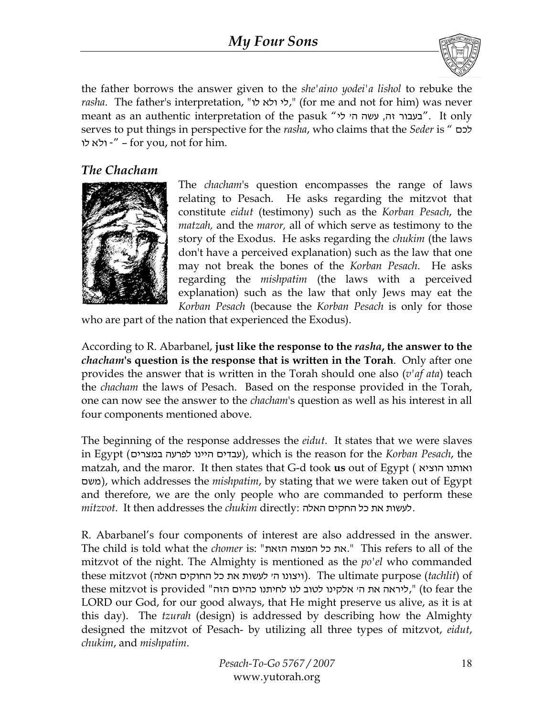

the father borrows the answer given to the *she'aino yodei'a lishol* to rebuke the *rasha*. The father's interpretation, "לי ולא לו," (for me and not for him) was never meant as an authentic interpretation of the pasuk "בעבור זה, עשה הי לי $\cdot$ ". It only serves to put things in perspective for the *rasha*, who claims that the *Seder* is " לכם ולא לו – " – for you, not for him.

#### *The Chacham*



The *chacham*'s question encompasses the range of laws relating to Pesach. He asks regarding the mitzvot that constitute *eidut* (testimony) such as the *Korban Pesach*, the *matzah,* and the *maror,* all of which serve as testimony to the story of the Exodus. He asks regarding the *chukim* (the laws don't have a perceived explanation) such as the law that one may not break the bones of the *Korban Pesach*. He asks regarding the *mishpatim* (the laws with a perceived explanation) such as the law that only Jews may eat the *Korban Pesach* (because the *Korban Pesach* is only for those

who are part of the nation that experienced the Exodus).

According to R. Abarbanel, **just like the response to the** *rasha***, the answer to the**  *chacham***'s question is the response that is written in the Torah**. Only after one provides the answer that is written in the Torah should one also (*v'af ata*) teach the *chacham* the laws of Pesach. Based on the response provided in the Torah, one can now see the answer to the *chacham*'s question as well as his interest in all four components mentioned above.

The beginning of the response addresses the *eidut*. It states that we were slaves in Egypt (במצרים לפרעה היינו עבדים(, which is the reason for the *Korban Pesach*, the matzah, and the maror. It then states that G-d took **us** out of Egypt ( הוציא ואותנו משם(, which addresses the *mishpatim*, by stating that we were taken out of Egypt and therefore, we are the only people who are commanded to perform these *mitzvot*. It then addresses the *chukim* directly: האלה החקים כל את לעשות.

R. Abarbanel's four components of interest are also addressed in the answer. The child is told what the *chomer* is: "הזאת המצוה כל את. "This refers to all of the mitzvot of the night. The Almighty is mentioned as the *po'el* who commanded these mitzvot (היצונו ה' לעשות את כל החוקים האלה). The ultimate purpose (tachlit) of these mitzvot is provided "האת ה' אלקינו לטוב לנו לחיתנו כהיום הזה", (to fear the LORD our God, for our good always, that He might preserve us alive, as it is at this day). The *tzurah* (design) is addressed by describing how the Almighty designed the mitzvot of Pesach- by utilizing all three types of mitzvot, *eidut*, *chukim*, and *mishpatim*.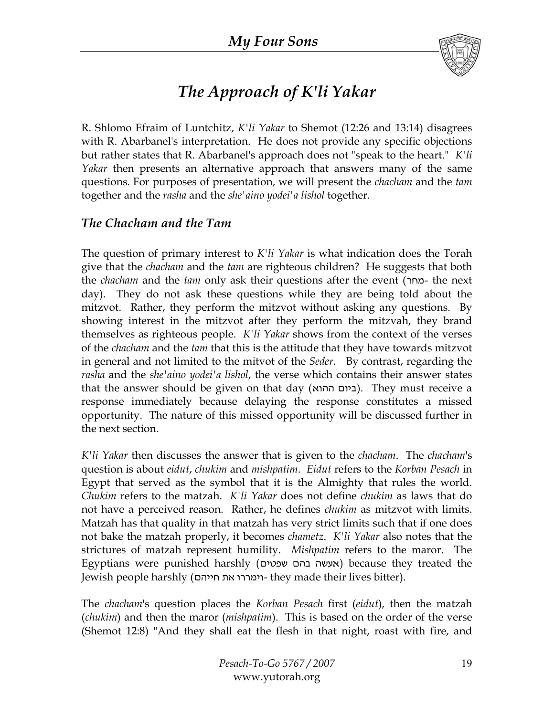

### *The Approach of K'li Yakar*

R. Shlomo Efraim of Luntchitz, *K'li Yakar* to Shemot (12:26 and 13:14) disagrees with R. Abarbanel's interpretation. He does not provide any specific objections but rather states that R. Abarbanel's approach does not "speak to the heart." *K'li Yakar* then presents an alternative approach that answers many of the same questions. For purposes of presentation, we will present the *chacham* and the *tam* together and the *rasha* and the *she'aino yodei'a lishol* together.

#### *The Chacham and the Tam*

The question of primary interest to *K'li Yakar* is what indication does the Torah give that the *chacham* and the *tam* are righteous children? He suggests that both the *chacham* and the *tam* only ask their questions after the event (מחר- the next day). They do not ask these questions while they are being told about the mitzvot. Rather, they perform the mitzvot without asking any questions. By showing interest in the mitzvot after they perform the mitzvah, they brand themselves as righteous people. *K'li Yakar* shows from the context of the verses of the *chacham* and the *tam* that this is the attitude that they have towards mitzvot in general and not limited to the mitvot of the *Seder*. By contrast, regarding the *rasha* and the *she'aino yodei'a lishol*, the verse which contains their answer states that the answer should be given on that day (ההוא ביום(. They must receive a response immediately because delaying the response constitutes a missed opportunity. The nature of this missed opportunity will be discussed further in the next section.

*K'li Yakar* then discusses the answer that is given to the *chacham*. The *chacham*'s question is about *eidut*, *chukim* and *mishpatim*. *Eidut* refers to the *Korban Pesach* in Egypt that served as the symbol that it is the Almighty that rules the world. *Chukim* refers to the matzah. *K'li Yakar* does not define *chukim* as laws that do not have a perceived reason. Rather, he defines *chukim* as mitzvot with limits. Matzah has that quality in that matzah has very strict limits such that if one does not bake the matzah properly, it becomes *chametz*. *K'li Yakar* also notes that the strictures of matzah represent humility. *Mishpatim* refers to the maror. The Egyptians were punished harshly (שפטים בהם אעשה (because they treated the Jewish people harshly (חייהם את וימררו- they made their lives bitter).

The *chacham*'s question places the *Korban Pesach* first (*eidut*), then the matzah (*chukim*) and then the maror (*mishpatim*). This is based on the order of the verse (Shemot 12:8) "And they shall eat the flesh in that night, roast with fire, and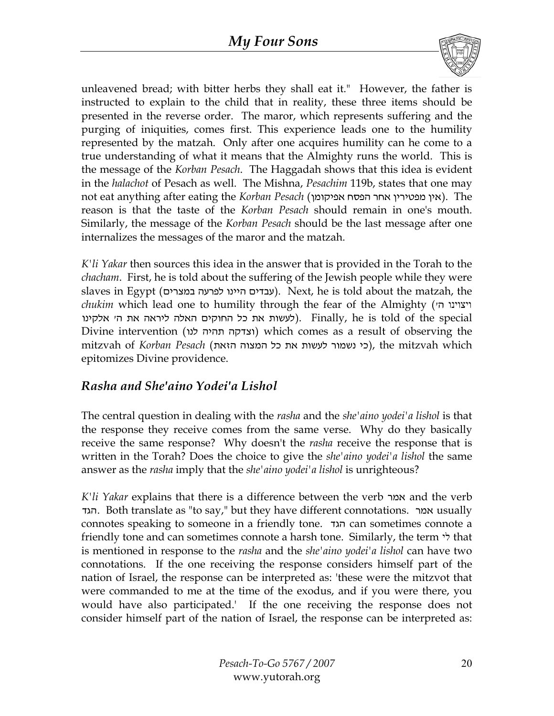

unleavened bread; with bitter herbs they shall eat it." However, the father is instructed to explain to the child that in reality, these three items should be presented in the reverse order. The maror, which represents suffering and the purging of iniquities, comes first. This experience leads one to the humility represented by the matzah. Only after one acquires humility can he come to a true understanding of what it means that the Almighty runs the world. This is the message of the *Korban Pesach*. The Haggadah shows that this idea is evident in the *halachot* of Pesach as well. The Mishna, *Pesachim* 119b, states that one may not eat anything after eating the *Korban Pesach* (אפיקומן הפסח אחר מפטירין אין(. The reason is that the taste of the *Korban Pesach* should remain in one's mouth. Similarly, the message of the *Korban Pesach* should be the last message after one internalizes the messages of the maror and the matzah.

*K'li Yakar* then sources this idea in the answer that is provided in the Torah to the *chacham*. First, he is told about the suffering of the Jewish people while they were slaves in Egypt (עבדים היינו לפרעה במצרים). Next, he is told about the matzah, the *chukim* which lead one to humility through the fear of the Almighty (יצוינו הי special the of told is he ,Finally .)לעשות את כל החוקים האלה ליראה את ה' אלקינו Divine intervention (וצדקה תהיה לנו) which comes as a result of observing the which mitzvah the ,)כי נשמור לעשות את כל המצוה הזאת) *Pesach Korban* of mitzvah epitomizes Divine providence.

#### *Rasha and She'aino Yodei'a Lishol*

The central question in dealing with the *rasha* and the *she'aino yodei'a lishol* is that the response they receive comes from the same verse. Why do they basically receive the same response? Why doesn't the *rasha* receive the response that is written in the Torah? Does the choice to give the *she'aino yodei'a lishol* the same answer as the *rasha* imply that the *she'aino yodei'a lishol* is unrighteous?

*K'li Yakar* explains that there is a difference between the verb אמר and the verb הגד. Both translate as "to say," but they have different connotations. אמר usually connotes speaking to someone in a friendly tone. הגד can sometimes connote a friendly tone and can sometimes connote a harsh tone. Similarly, the term  $\dot{v}$  that is mentioned in response to the *rasha* and the *she'aino yodei'a lishol* can have two connotations. If the one receiving the response considers himself part of the nation of Israel, the response can be interpreted as: 'these were the mitzvot that were commanded to me at the time of the exodus, and if you were there, you would have also participated.' If the one receiving the response does not consider himself part of the nation of Israel, the response can be interpreted as: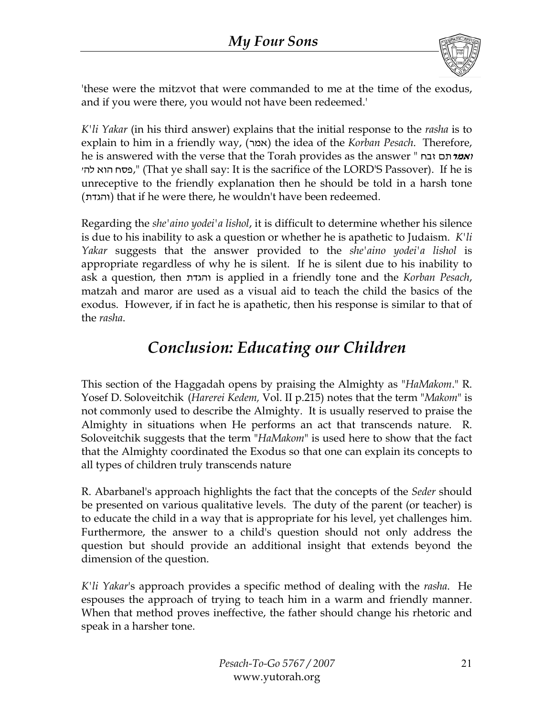

'these were the mitzvot that were commanded to me at the time of the exodus, and if you were there, you would not have been redeemed.'

*K'li Yakar* (in his third answer) explains that the initial response to the *rasha* is to explain to him in a friendly way, (אמר) the idea of the *Korban Pesach*. Therefore, he is answered with the verse that the Torah provides as the answer " זבח <sup>ו</sup>**אמר**תם פסח הוא להי," (That ye shall say: It is the sacrifice of the LORD'S Passover). If he is unreceptive to the friendly explanation then he should be told in a harsh tone (והגדת (that if he were there, he wouldn't have been redeemed.

Regarding the *she'aino yodei'a lishol*, it is difficult to determine whether his silence is due to his inability to ask a question or whether he is apathetic to Judaism. *K'li Yakar* suggests that the answer provided to the *she'aino yodei'a lishol* is appropriate regardless of why he is silent. If he is silent due to his inability to ask a question, then והגדת is applied in a friendly tone and the *Korban Pesach*, matzah and maror are used as a visual aid to teach the child the basics of the exodus. However, if in fact he is apathetic, then his response is similar to that of the *rasha*.

### *Conclusion: Educating our Children*

This section of the Haggadah opens by praising the Almighty as "*HaMakom*." R. Yosef D. Soloveitchik (*Harerei Kedem,* Vol. II p.215) notes that the term "*Makom*" is not commonly used to describe the Almighty. It is usually reserved to praise the Almighty in situations when He performs an act that transcends nature. R. Soloveitchik suggests that the term "*HaMakom*" is used here to show that the fact that the Almighty coordinated the Exodus so that one can explain its concepts to all types of children truly transcends nature

R. Abarbanel's approach highlights the fact that the concepts of the *Seder* should be presented on various qualitative levels. The duty of the parent (or teacher) is to educate the child in a way that is appropriate for his level, yet challenges him. Furthermore, the answer to a child's question should not only address the question but should provide an additional insight that extends beyond the dimension of the question.

*K'li Yakar*'s approach provides a specific method of dealing with the *rasha*. He espouses the approach of trying to teach him in a warm and friendly manner. When that method proves ineffective, the father should change his rhetoric and speak in a harsher tone.